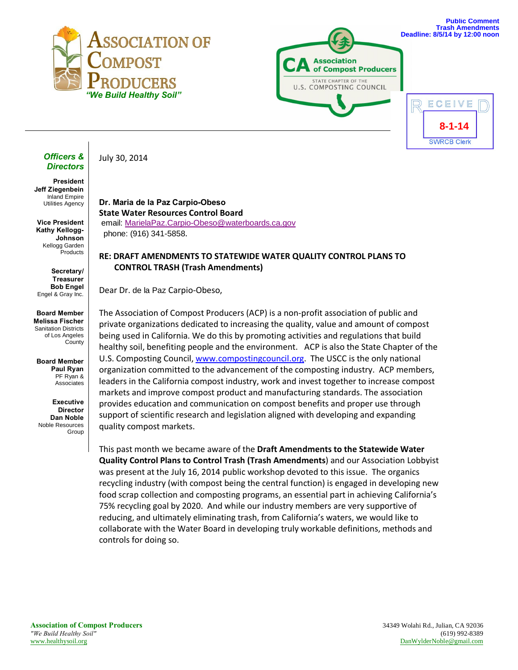



![](_page_0_Picture_2.jpeg)

#### *Officers & Directors*

**President Jeff Ziegenbein** Inland Empire Utilities Agency

**Vice President Kathy Kellogg-Johnson** Kellogg Garden Products

**Secretary/ Treasurer Bob Engel** Engel & Gray Inc.

**Board Member Melissa Fischer** Sanitation Districts of Los Angeles County

**Board Member Paul Ryan** PF Ryan & Associates

**Executive Director Dan Noble** Noble Resources Group

# July 30, 2014

**Dr. Maria de la Paz Carpio-Obeso State Water Resources Control Board** email: [MarielaPaz.Carpio-Obeso@waterboards.ca.gov](mailto:MarielaPaz.Carpio-Obeso@waterboards.ca.gov?subject=Trash%20Control) phone: (916) 341-5858.

## **RE: DRAFT AMENDMENTS TO STATEWIDE WATER QUALITY CONTROL PLANS TO CONTROL TRASH (Trash Amendments)**

Dear Dr. de la Paz Carpio-Obeso,

The Association of Compost Producers (ACP) is a non-profit association of public and private organizations dedicated to increasing the quality, value and amount of compost being used in California. We do this by promoting activities and regulations that build healthy soil, benefiting people and the environment. ACP is also the State Chapter of the U.S. Composting Council, [www.compostingcouncil.org.](http://www.compostingcouncil.org/) The USCC is the only national organization committed to the advancement of the composting industry. ACP members, leaders in the California compost industry, work and invest together to increase compost markets and improve compost product and manufacturing standards. The association provides education and communication on compost benefits and proper use through support of scientific research and legislation aligned with developing and expanding quality compost markets.

This past month we became aware of the **Draft Amendments to the Statewide Water Quality Control Plans to Control Trash (Trash Amendments**) and our Association Lobbyist was present at the July 16, 2014 public workshop devoted to this issue. The organics recycling industry (with compost being the central function) is engaged in developing new food scrap collection and composting programs, an essential part in achieving California's 75% recycling goal by 2020. And while our industry members are very supportive of reducing, and ultimately eliminating trash, from California's waters, we would like to collaborate with the Water Board in developing truly workable definitions, methods and controls for doing so.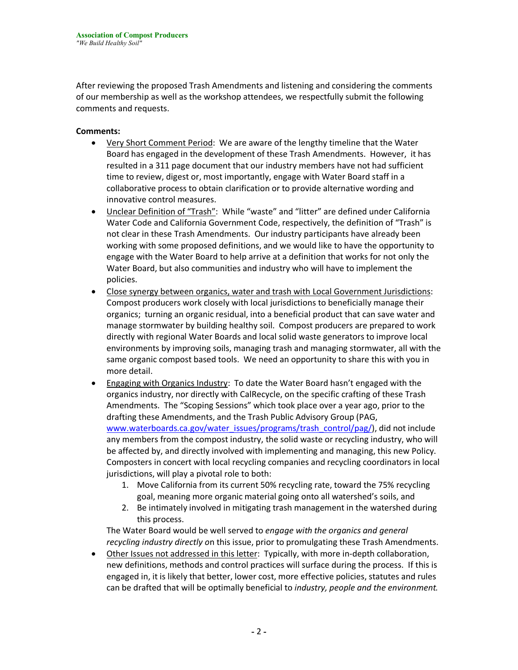After reviewing the proposed Trash Amendments and listening and considering the comments of our membership as well as the workshop attendees, we respectfully submit the following comments and requests.

### **Comments:**

- · Very Short Comment Period: We are aware of the lengthy timeline that the Water Board has engaged in the development of these Trash Amendments. However, it has resulted in a 311 page document that our industry members have not had sufficient time to review, digest or, most importantly, engage with Water Board staff in a collaborative process to obtain clarification or to provide alternative wording and innovative control measures.
- · Unclear Definition of "Trash": While "waste" and "litter" are defined under California Water Code and California Government Code, respectively, the definition of "Trash" is not clear in these Trash Amendments. Our industry participants have already been working with some proposed definitions, and we would like to have the opportunity to engage with the Water Board to help arrive at a definition that works for not only the Water Board, but also communities and industry who will have to implement the policies.
- · Close synergy between organics, water and trash with Local Government Jurisdictions: Compost producers work closely with local jurisdictions to beneficially manage their organics; turning an organic residual, into a beneficial product that can save water and manage stormwater by building healthy soil. Compost producers are prepared to work directly with regional Water Boards and local solid waste generators to improve local environments by improving soils, managing trash and managing stormwater, all with the same organic compost based tools. We need an opportunity to share this with you in more detail.
- · Engaging with Organics Industry: To date the Water Board hasn't engaged with the organics industry, nor directly with CalRecycle, on the specific crafting of these Trash Amendments. The "Scoping Sessions" which took place over a year ago, prior to the drafting these Amendments, and the Trash Public Advisory Group (PAG, [www.waterboards.ca.gov/water\\_issues/programs/trash\\_control/pag/\)](http://www.waterboards.ca.gov/water_issues/programs/trash_control/pag/), did not include any members from the compost industry, the solid waste or recycling industry, who will be affected by, and directly involved with implementing and managing, this new Policy. Composters in concert with local recycling companies and recycling coordinators in local jurisdictions, will play a pivotal role to both:
	- 1. Move California from its current 50% recycling rate, toward the 75% recycling goal, meaning more organic material going onto all watershed's soils, and
	- 2. Be intimately involved in mitigating trash management in the watershed during this process.

The Water Board would be well served to *engage with the organics and general recycling industry directly o*n this issue, prior to promulgating these Trash Amendments.

• Other Issues not addressed in this letter: Typically, with more in-depth collaboration, new definitions, methods and control practices will surface during the process. If this is engaged in, it is likely that better, lower cost, more effective policies, statutes and rules can be drafted that will be optimally beneficial to *industry, people and the environment.*